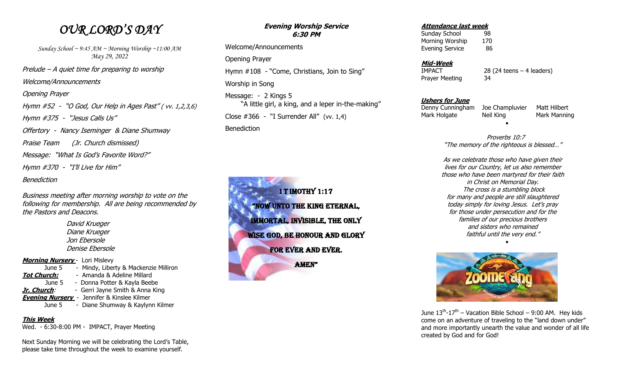## *OUR LORD'S DAY*

*Sunday School ~ 9:45 AM ~ Morning Worship ~11:00 AM May 29, 2022* Prelude – A quiet time for preparing to worship Welcome/Announcements Opening Prayer Hymn #52 - "O God, Our Help in Ages Past" ( vv. 1,2,3,6) Hymn #375 - "Jesus Calls Us" Offertory - Nancy Iseminger & Diane Shumway Praise Team (Jr. Church dismissed) Message: "What Is God's Favorite Word?" Hymn #370 - "I'll Live for Him" Benediction

Business meeting after morning worship to vote on the following for membership. All are being recommended by the Pastors and Deacons.

> David Krueger Diane Krueger Jon Ebersole Denise Ebersole

**Morning Nursery** - Lori Mislevy June 5 - Mindy, Liberty & Mackenzie Milliron **Tot Church:** - Amanda & Adeline Millard June 5 - Donna Potter & Kayla Beebe **Jr. Church**: - Gerri Jayne Smith & Anna King **Evening Nursery** - Jennifer & Kinslee Kilmer June 5 - Diane Shumway & Kaylynn Kilmer

### **This Week**

Wed. - 6:30-8:00 PM - IMPACT, Prayer Meeting

Next Sunday Morning we will be celebrating the Lord's Table, please take time throughout the week to examine yourself.

#### **Evening Worship Service 6:30 PM**

 Welcome/Announcements Opening Prayer Hymn #108 - "Come, Christians, Join to Sing" Worship in Song Message: - 2 Kings 5 "A little girl, a king, and a leper in-the-making" Close #366 - "I Surrender All" (vv. 1,4) Benediction



#### **Attendance last week**

Sunday School 98 Morning Worship 170 Evening Service 86

### **Mid-Week**

Prayer Meeting 34

IMPACT 28 (24 teens – 4 leaders)

### **Ushers for June**

 Denny Cunningham Joe Champluvier Matt Hilbert Mark Holgate Neil King Mark Manning

 Proverbs 10:7 "The memory of the righteous is blessed…"

 $\bullet$ 

As we celebrate those who have given their lives for our Country, let us also remember those who have been martyred for their faith in Christ on Memorial Day. The cross is a stumbling block for many and people are still slaughtered today simply for loving Jesus. Let's pray for those under persecution and for the families of our precious brothers and sisters who remained faithful until the very end."  $\bullet$ 



June  $13^{th}$ - $17^{th}$  – Vacation Bible School – 9:00 AM. Hey kids come on an adventure of traveling to the "land down under" and more importantly unearth the value and wonder of all life created by God and for God!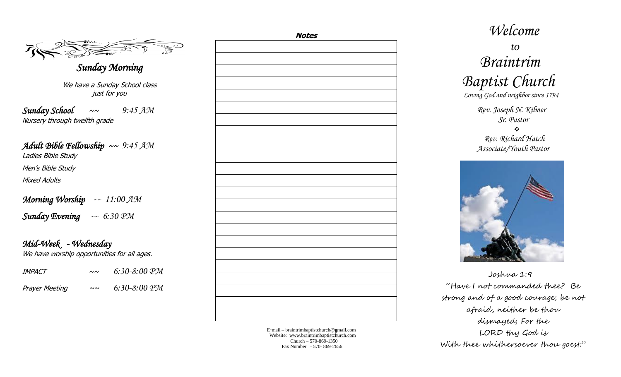$\mathcal{F}_{\mathbf{a}}$ *Sunday Morning*  We have a Sunday School class just for you

*Sunday School* ~~ *9:45 AM* Nursery through twelfth grade

### *Adult Bible Fellowship* ~~ *9:45 AM*

Ladies Bible Study

Men's Bible Study

Mixed Adults

*Morning Worship ~~ 11:00 AM Sunday Evening ~~ 6:30 PM*

*Mid-Week - Wednesday*  We have worship opportunities for all ages.

| IMPACT                | $\sim \sim$ | $6:30-8:00$ PM |
|-----------------------|-------------|----------------|
| <b>Prayer Meeting</b> | $\sim\sim$  | $6:30-8:00$ PM |

| <u>Notes</u> |  |  |  |
|--------------|--|--|--|
|              |  |  |  |
|              |  |  |  |
|              |  |  |  |
|              |  |  |  |
|              |  |  |  |
|              |  |  |  |
|              |  |  |  |
|              |  |  |  |
|              |  |  |  |
|              |  |  |  |
|              |  |  |  |
|              |  |  |  |
|              |  |  |  |
|              |  |  |  |
|              |  |  |  |
|              |  |  |  |
|              |  |  |  |
|              |  |  |  |
|              |  |  |  |
|              |  |  |  |
|              |  |  |  |
|              |  |  |  |
|              |  |  |  |
|              |  |  |  |

E -mail – braintrimbaptistchurch@ **g**mail.com Website: [www.braintrimbaptistchurch.com](http://www.braintrimbaptistchurch.org/) Church – 570 -869 -1350 Fax Number - 570 - 869 -2656

# *Welcome to Braintrim Baptist Church Loving God and neighbor since 1794 Rev. Joseph N. Kilmer Sr. Pastor*  $\frac{1}{2}$  *Rev. Richard Hatch Associate/Youth Pastor*



 Joshua 1:9 "Have I not commanded thee? Be strong and of a good courage; be not afraid, neither be thou dismayed; For the LORD thy God is With thee whithersoever thou goest."